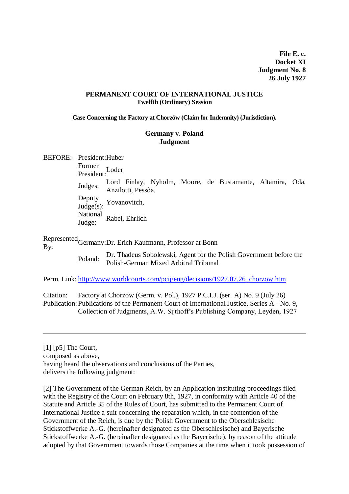**File E. c. Docket XI Judgment No. 8 26 July 1927**

#### **PERMANENT COURT OF INTERNATIONAL JUSTICE Twelfth (Ordinary) Session**

**Case Concerning the Factory at Chorzów (Claim for Indemnity) (Jurisdiction).**

#### **Germany v. Poland Judgment**

BEFORE: President:Huber

Former<br>President: <sup>Loder</sup>

Judges: Lord Finlay, Nyholm, Moore, de Bustamante, Altamira, Oda, Anzilotti, Pessôa,

Deputy  $\frac{\mu_{\text{v}}}{\text{Judge(s)}}$ : Yovanovitch,

National Judge: Rabel, Ehrlich

Represented<br>By: Germany:Dr. Erich Kaufmann, Professor at Bonn

Poland: Dr. Thadeus Sobolewski, Agent for the Polish Government before the Polish-German Mixed Arbitral Tribunal

Perm. Link: [http://www.worldcourts.com/pcij/eng/decisions/1927.07.26\\_chorzow.htm](http://www.worldcourts.com/pcij/eng/decisions/1927.07.26_chorzow.htm)

Citation: Factory at Chorzow (Germ. v. Pol.), 1927 P.C.I.J. (ser. A) No. 9 (July 26) Publication: Publications of the Permanent Court of International Justice, Series A - No. 9, Collection of Judgments, A.W. Sijthoff's Publishing Company, Leyden, 1927

[1] [p5] The Court, composed as above, having heard the observations and conclusions of the Parties, delivers the following judgment:

[2] The Government of the German Reich, by an Application instituting proceedings filed with the Registry of the Court on February 8th, 1927, in conformity with Article 40 of the Statute and Article 35 of the Rules of Court, has submitted to the Permanent Court of International Justice a suit concerning the reparation which, in the contention of the Government of the Reich, is due by the Polish Government to the Oberschlesische Stickstoffwerke A.-G. (hereinafter designated as the Oberschlesische) and Bayerische Stickstoffwerke A.-G. (hereinafter designated as the Bayerische), by reason of the attitude adopted by that Government towards those Companies at the time when it took possession of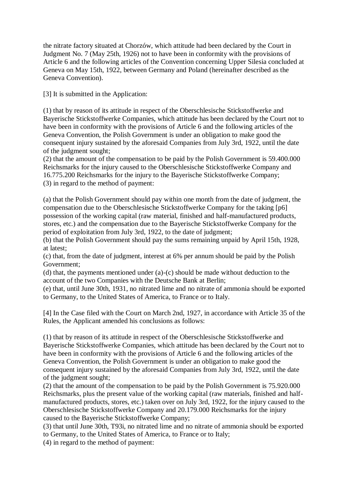the nitrate factory situated at Chorzów, which attitude had been declared by the Court in Judgment No. 7 (May 25th, 1926) not to have been in conformity with the provisions of Article 6 and the following articles of the Convention concerning Upper Silesia concluded at Geneva on May 15th, 1922, between Germany and Poland (hereinafter described as the Geneva Convention).

[3] It is submitted in the Application:

(1) that by reason of its attitude in respect of the Oberschlesische Stickstoffwerke and Bayerische Stickstoffwerke Companies, which attitude has been declared by the Court not to have been in conformity with the provisions of Article 6 and the following articles of the Geneva Convention, the Polish Government is under an obligation to make good the consequent injury sustained by the aforesaid Companies from July 3rd, 1922, until the date of the judgment sought;

(2) that the amount of the compensation to be paid by the Polish Government is 59.400.000 Reichsmarks for the injury caused to the Oberschlesische Stickstoffwerke Company and 16.775.200 Reichsmarks for the injury to the Bayerische Stickstoffwerke Company; (3) in regard to the method of payment:

(a) that the Polish Government should pay within one month from the date of judgment, the compensation due to the Oberschlesische Stickstoffwerke Company for the taking [p6] possession of the working capital (raw material, finished and half-manufactured products, stores, etc.) and the compensation due to the Bayerische Stickstoffwerke Company for the period of exploitation from July 3rd, 1922, to the date of judgment;

(b) that the Polish Government should pay the sums remaining unpaid by April 15th, 1928, at latest;

(c) that, from the date of judgment, interest at 6% per annum should be paid by the Polish Government;

(d) that, the payments mentioned under (a)-(c) should be made without deduction to the account of the two Companies with the Deutsche Bank at Berlin;

(e) that, until June 30th, 1931, no nitrated lime and no nitrate of ammonia should be exported to Germany, to the United States of America, to France or to Italy.

[4] In the Case filed with the Court on March 2nd, 1927, in accordance with Article 35 of the Rules, the Applicant amended his conclusions as follows:

(1) that by reason of its attitude in respect of the Oberschlesische Stickstoffwerke and Bayerische Stickstoffwerke Companies, which attitude has been declared by the Court not to have been in conformity with the provisions of Article 6 and the following articles of the Geneva Convention, the Polish Government is under an obligation to make good the consequent injury sustained by the aforesaid Companies from July 3rd, 1922, until the date of the judgment sought;

(2) that the amount of the compensation to be paid by the Polish Government is 75.920.000 Reichsmarks, plus the present value of the working capital (raw materials, finished and halfmanufactured products, stores, etc.) taken over on July 3rd, 1922, for the injury caused to the Oberschlesische Stickstoffwerke Company and 20.179.000 Reichsmarks for the injury caused to the Bayerische Stickstoffwerke Company;

(3) that until June 30th, T93i, no nitrated lime and no nitrate of ammonia should be exported to Germany, to the United States of America, to France or to Italy;

(4) in regard to the method of payment: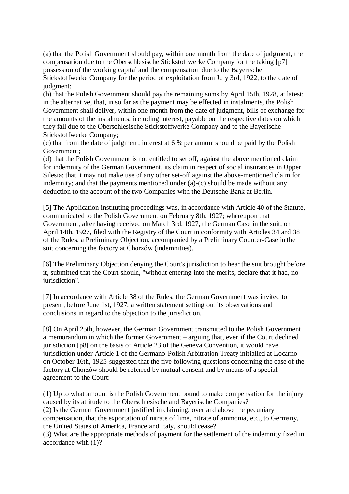(a) that the Polish Government should pay, within one month from the date of judgment, the compensation due to the Oberschlesische Stickstoffwerke Company for the taking [p7] possession of the working capital and the compensation due to the Bayerische Stickstoffwerke Company for the period of exploitation from July 3rd, 1922, to the date of judgment;

(b) that the Polish Government should pay the remaining sums by April 15th, 1928, at latest; in the alternative, that, in so far as the payment may be effected in instalments, the Polish Government shall deliver, within one month from the date of judgment, bills of exchange for the amounts of the instalments, including interest, payable on the respective dates on which they fall due to the Oberschlesische Stickstoffwerke Company and to the Bayerische Stickstoffwerke Company;

(c) that from the date of judgment, interest at 6 % per annum should be paid by the Polish Government;

(d) that the Polish Government is not entitled to set off, against the above mentioned claim for indemnity of the German Government, its claim in respect of social insurances in Upper Silesia; that it may not make use of any other set-off against the above-mentioned claim for indemnity; and that the payments mentioned under (a)-(c) should be made without any deduction to the account of the two Companies with the Deutsche Bank at Berlin.

[5] The Application instituting proceedings was, in accordance with Article 40 of the Statute, communicated to the Polish Government on February 8th, 1927; whereupon that Government, after having received on March 3rd, 1927, the German Case in the suit, on April 14th, 1927, filed with the Registry of the Court in conformity with Articles 34 and 38 of the Rules, a Preliminary Objection, accompanied by a Preliminary Counter-Case in the suit concerning the factory at Chorzów (indemnities).

[6] The Preliminary Objection denying the Court's jurisdiction to hear the suit brought before it, submitted that the Court should, "without entering into the merits, declare that it had, no jurisdiction".

[7] In accordance with Article 38 of the Rules, the German Government was invited to present, before June 1st, 1927, a written statement setting out its observations and conclusions in regard to the objection to the jurisdiction.

[8] On April 25th, however, the German Government transmitted to the Polish Government a memorandum in which the former Government – arguing that, even if the Court declined jurisdiction [p8] on the basis of Article 23 of the Geneva Convention, it would have jurisdiction under Article 1 of the Germano-Polish Arbitration Treaty initialled at Locarno on October 16th, 1925-suggested that the five following questions concerning the case of the factory at Chorzów should be referred by mutual consent and by means of a special agreement to the Court:

(1) Up to what amount is the Polish Government bound to make compensation for the injury caused by its attitude to the Oberschlesische and Bayerische Companies? (2) Is the German Government justified in claiming, over and above the pecuniary compensation, that the exportation of nitrate of lime, nitrate of ammonia, etc., to Germany, the United States of America, France and Italy, should cease? (3) What are the appropriate methods of payment for the settlement of the indemnity fixed in

accordance with (1)?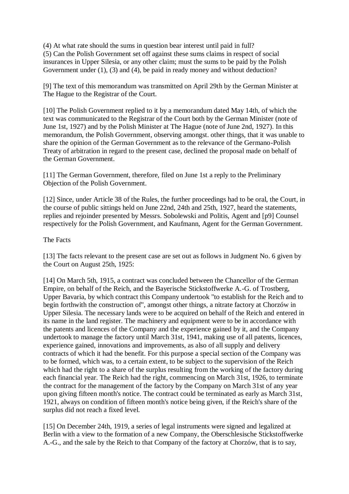(4) At what rate should the sums in question bear interest until paid in full? (5) Can the Polish Government set off against these sums claims in respect of social insurances in Upper Silesia, or any other claim; must the sums to be paid by the Polish Government under (1), (3) and (4), be paid in ready money and without deduction?

[9] The text of this memorandum was transmitted on April 29th by the German Minister at The Hague to the Registrar of the Court.

[10] The Polish Government replied to it by a memorandum dated May 14th, of which the text was communicated to the Registrar of the Court both by the German Minister (note of June 1st, 1927) and by the Polish Minister at The Hague (note of June 2nd, 1927). In this memorandum, the Polish Government, observing amongst. other things, that it was unable to share the opinion of the German Government as to the relevance of the Germano-Polish Treaty of arbitration in regard to the present case, declined the proposal made on behalf of the German Government.

[11] The German Government, therefore, filed on June 1st a reply to the Preliminary Objection of the Polish Government.

[12] Since, under Article 38 of the Rules, the further proceedings had to be oral, the Court, in the course of public sittings held on June 22nd, 24th and 25th, 1927, heard the statements, replies and rejoinder presented by Messrs. Sobolewski and Politis, Agent and [p9] Counsel respectively for the Polish Government, and Kaufmann, Agent for the German Government.

### The Facts

[13] The facts relevant to the present case are set out as follows in Judgment No. 6 given by the Court on August 25th, 1925:

[14] On March 5th, 1915, a contract was concluded between the Chancellor of the German Empire, on behalf of the Reich, and the Bayerische Stickstoffwerke A.-G. of Trostberg, Upper Bavaria, by which contract this Company undertook "to establish for the Reich and to begin forthwith the construction of", amongst other things, a nitrate factory at Chorzów in Upper Silesia. The necessary lands were to be acquired on behalf of the Reich and entered in its name in the land register. The machinery and equipment were to be in accordance with the patents and licences of the Company and the experience gained by it, and the Company undertook to manage the factory until March 31st, 1941, making use of all patents, licences, experience gained, innovations and improvements, as also of all supply and delivery contracts of which it had the benefit. For this purpose a special section of the Company was to be formed, which was, to a certain extent, to be subject to the supervision of the Reich which had the right to a share of the surplus resulting from the working of the factory during each financial year. The Reich had the right, commencing on March 31st, 1926, to terminate the contract for the management of the factory by the Company on March 31st of any year upon giving fifteen month's notice. The contract could be terminated as early as March 31st, 1921, always on condition of fifteen month's notice being given, if the Reich's share of the surplus did not reach a fixed level.

[15] On December 24th, 1919, a series of legal instruments were signed and legalized at Berlin with a view to the formation of a new Company, the Oberschlesische Stickstoffwerke A.-G., and the sale by the Reich to that Company of the factory at Chorzów, that is to say,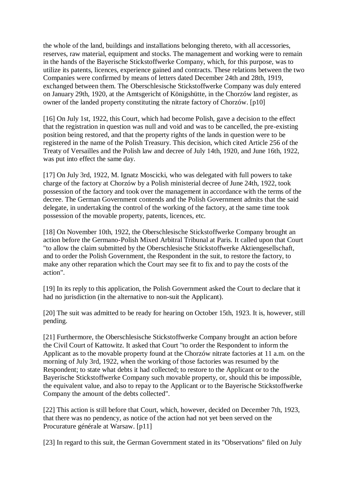the whole of the land, buildings and installations belonging thereto, with all accessories, reserves, raw material, equipment and stocks. The management and working were to remain in the hands of the Bayerische Stickstoffwerke Company, which, for this purpose, was to utilize its patents, licences, experience gained and contracts. These relations between the two Companies were confirmed by means of letters dated December 24th and 28th, 1919, exchanged between them. The Oberschlesische Stickstoffwerke Company was duly entered on January 29th, 1920, at the Amtsgericht of Königshütte, in the Chorzów land register, as owner of the landed property constituting the nitrate factory of Chorzów. [p10]

[16] On July 1st, 1922, this Court, which had become Polish, gave a decision to the effect that the registration in question was null and void and was to be cancelled, the pre-existing position being restored, and that the property rights of the lands in question were to be registered in the name of the Polish Treasury. This decision, which cited Article 256 of the Treaty of Versailles and the Polish law and decree of July 14th, 1920, and June 16th, 1922, was put into effect the same day.

[17] On July 3rd, 1922, M. Ignatz Moscicki, who was delegated with full powers to take charge of the factory at Chorzów by a Polish ministerial decree of June 24th, 1922, took possession of the factory and took over the management in accordance with the terms of the decree. The German Government contends and the Polish Government admits that the said delegate, in undertaking the control of the working of the factory, at the same time took possession of the movable property, patents, licences, etc.

[18] On November 10th, 1922, the Oberschlesische Stickstoffwerke Company brought an action before the Germano-Polish Mixed Arbitral Tribunal at Paris. It called upon that Court "to allow the claim submitted by the Oberschlesische Stickstoffwerke Aktiengesellschaft, and to order the Polish Government, the Respondent in the suit, to restore the factory, to make any other reparation which the Court may see fit to fix and to pay the costs of the action".

[19] In its reply to this application, the Polish Government asked the Court to declare that it had no jurisdiction (in the alternative to non-suit the Applicant).

[20] The suit was admitted to be ready for hearing on October 15th, 1923. It is, however, still pending.

[21] Furthermore, the Oberschlesische Stickstoffwerke Company brought an action before the Civil Court of Kattowitz. It asked that Court "to order the Respondent to inform the Applicant as to the movable property found at the Chorzów nitrate factories at 11 a.m. on the morning of July 3rd, 1922, when the working of those factories was resumed by the Respondent; to state what debts it had collected; to restore to the Applicant or to the Bayerische Stickstoffwerke Company such movable property, or, should this be impossible, the equivalent value, and also to repay to the Applicant or to the Bayerische Stickstoffwerke Company the amount of the debts collected".

[22] This action is still before that Court, which, however, decided on December 7th, 1923, that there was no pendency, as notice of the action had not yet been served on the Procurature générale at Warsaw. [p11]

[23] In regard to this suit, the German Government stated in its "Observations" filed on July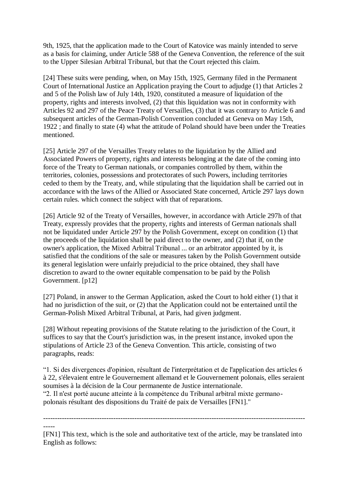9th, 1925, that the application made to the Court of Katovice was mainly intended to serve as a basis for claiming, under Article 588 of the Geneva Convention, the reference of the suit to the Upper Silesian Arbitral Tribunal, but that the Court rejected this claim.

[24] These suits were pending, when, on May 15th, 1925, Germany filed in the Permanent Court of International Justice an Application praying the Court to adjudge (1) that Articles 2 and 5 of the Polish law of July 14th, 1920, constituted a measure of liquidation of the property, rights and interests involved, (2) that this liquidation was not in conformity with Articles 92 and 297 of the Peace Treaty of Versailles, (3) that it was contrary to Article 6 and subsequent articles of the German-Polish Convention concluded at Geneva on May 15th, 1922 ; and finally to state (4) what the attitude of Poland should have been under the Treaties mentioned.

[25] Article 297 of the Versailles Treaty relates to the liquidation by the Allied and Associated Powers of property, rights and interests belonging at the date of the coming into force of the Treaty to German nationals, or companies controlled by them, within the territories, colonies, possessions and protectorates of such Powers, including territories ceded to them by the Treaty, and, while stipulating that the liquidation shall be carried out in accordance with the laws of the Allied or Associated State concerned, Article 297 lays down certain rules. which connect the subject with that of reparations.

[26] Article 92 of the Treaty of Versailles, however, in accordance with Article 297h of that Treaty, expressly provides that the property, rights and interests of German nationals shall not be liquidated under Article 297 by the Polish Government, except on condition (1) that the proceeds of the liquidation shall be paid direct to the owner, and (2) that if, on the owner's application, the Mixed Arbitral Tribunal ... or an arbitrator appointed by it, is satisfied that the conditions of the sale or measures taken by the Polish Government outside its general legislation were unfairly prejudicial to the price obtained, they shall have discretion to award to the owner equitable compensation to be paid by the Polish Government. [p12]

[27] Poland, in answer to the German Application, asked the Court to hold either (1) that it had no jurisdiction of the suit, or (2) that the Application could not be entertained until the German-Polish Mixed Arbitral Tribunal, at Paris, had given judgment.

[28] Without repeating provisions of the Statute relating to the jurisdiction of the Court, it suffices to say that the Court's jurisdiction was, in the present instance, invoked upon the stipulations of Article 23 of the Geneva Convention. This article, consisting of two paragraphs, reads:

"1. Si des divergences d'opinion, résultant de l'interprétation et de l'application des articles 6 à 22, s'élevaient entre le Gouvernement allemand et le Gouvernement polonais, elles seraient soumises à la décision de la Cour permanente de Justice internationale. "2. Il n'est porté aucune atteinte à la compétence du Tribunal arbitral mixte germano-

polonais résultant des dispositions du Traité de paix de Versailles [FN1]."

---------------------------------------------------------------------------------------------------------------- -----

<sup>[</sup>FN1] This text, which is the sole and authoritative text of the article, may be translated into English as follows: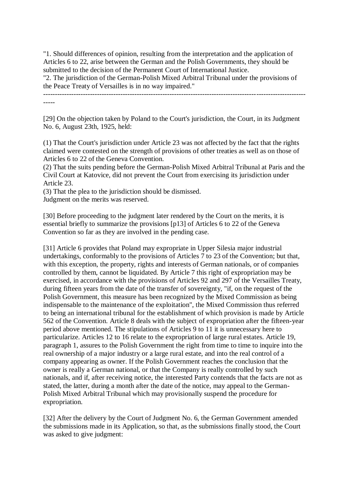"1. Should differences of opinion, resulting from the interpretation and the application of Articles 6 to 22, arise between the German and the Polish Governments, they should be submitted to the decision of the Permanent Court of International Justice.

"2. The jurisdiction of the German-Polish Mixed Arbitral Tribunal under the provisions of the Peace Treaty of Versailles is in no way impaired."

----------------------------------------------------------------------------------------------------------------

-----

[29] On the objection taken by Poland to the Court's jurisdiction, the Court, in its Judgment No. 6, August 23th, 1925, held:

(1) That the Court's jurisdiction under Article 23 was not affected by the fact that the rights claimed were contested on the strength of provisions of other treaties as well as on those of Articles 6 to 22 of the Geneva Convention.

(2) That the suits pending before the German-Polish Mixed Arbitral Tribunal at Paris and the Civil Court at Katovice, did not prevent the Court from exercising its jurisdiction under Article 23.

(3) That the plea to the jurisdiction should be dismissed.

Judgment on the merits was reserved.

[30] Before proceeding to the judgment later rendered by the Court on the merits, it is essential briefly to summarize the provisions [p13] of Articles 6 to 22 of the Geneva Convention so far as they are involved in the pending case.

[31] Article 6 provides that Poland may expropriate in Upper Silesia major industrial undertakings, conformably to the provisions of Articles 7 to 23 of the Convention; but that, with this exception, the property, rights and interests of German nationals, or of companies controlled by them, cannot be liquidated. By Article 7 this right of expropriation may be exercised, in accordance with the provisions of Articles 92 and 297 of the Versailles Treaty, during fifteen years from the date of the transfer of sovereignty, "if, on the request of the Polish Government, this measure has been recognized by the Mixed Commission as being indispensable to the maintenance of the exploitation", the Mixed Commission thus referred to being an international tribunal for the establishment of which provision is made by Article 562 of the Convention. Article 8 deals with the subject of expropriation after the fifteen-year period above mentioned. The stipulations of Articles 9 to 11 it is unnecessary here to particularize. Articles 12 to 16 relate to the expropriation of large rural estates. Article 19, paragraph 1, assures to the Polish Government the right from time to time to inquire into the real ownership of a major industry or a large rural estate, and into the real control of a company appearing as owner. If the Polish Government reaches the conclusion that the owner is really a German national, or that the Company is really controlled by such nationals, and if, after receiving notice, the interested Party contends that the facts are not as stated, the latter, during a month after the date of the notice, may appeal to the German-Polish Mixed Arbitral Tribunal which may provisionally suspend the procedure for expropriation.

[32] After the delivery by the Court of Judgment No. 6, the German Government amended the submissions made in its Application, so that, as the submissions finally stood, the Court was asked to give judgment: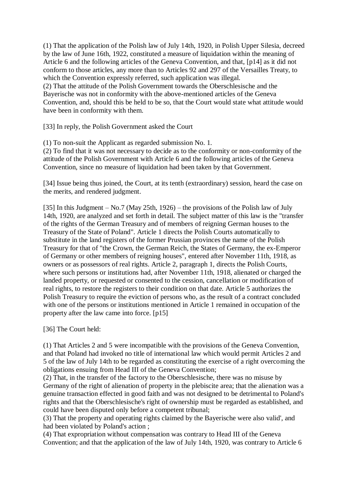(1) That the application of the Polish law of July 14th, 1920, in Polish Upper Silesia, decreed by the law of June 16th, 1922, constituted a measure of liquidation within the meaning of Article 6 and the following articles of the Geneva Convention, and that, [p14] as it did not conform to those articles, any more than to Articles 92 and 297 of the Versailles Treaty, to which the Convention expressly referred, such application was illegal. (2) That the attitude of the Polish Government towards the Oberschlesische and the Bayerische was not in conformity with the above-mentioned articles of the Geneva Convention, and, should this be held to be so, that the Court would state what attitude would have been in conformity with them.

[33] In reply, the Polish Government asked the Court

(1) To non-suit the Applicant as regarded submission No. 1.

(2) To find that it was not necessary to decide as to the conformity or non-conformity of the attitude of the Polish Government with Article 6 and the following articles of the Geneva Convention, since no measure of liquidation had been taken by that Government.

[34] Issue being thus joined, the Court, at its tenth (extraordinary) session, heard the case on the merits, and rendered judgment.

[35] In this Judgment – No.7 (May 25th, 1926) – the provisions of the Polish law of July 14th, 1920, are analyzed and set forth in detail. The subject matter of this law is the "transfer of the rights of the German Treasury and of members of reigning German houses to the Treasury of the State of Poland". Article 1 directs the Polish Courts automatically to substitute in the land registers of the former Prussian provinces the name of the Polish Treasury for that of "the Crown, the German Reich, the States of Germany, the ex-Emperor of Germany or other members of reigning houses", entered after November 11th, 1918, as owners or as possessors of real rights. Article 2, paragraph 1, directs the Polish Courts, where such persons or institutions had, after November 11th, 1918, alienated or charged the landed property, or requested or consented to the cession, cancellation or modification of real rights, to restore the registers to their condition on that date. Article 5 authorizes the Polish Treasury to require the eviction of persons who, as the result of a contract concluded with one of the persons or institutions mentioned in Article 1 remained in occupation of the property after the law came into force. [p15]

[36] The Court held:

(1) That Articles 2 and 5 were incompatible with the provisions of the Geneva Convention, and that Poland had invoked no title of international law which would permit Articles 2 and 5 of the law of July 14th to be regarded as constituting the exercise of a right overcoming the obligations ensuing from Head III of the Geneva Convention;

(2) That, in the transfer of the factory to the Oberschlesische, there was no misuse by Germany of the right of alienation of property in the plebiscite area; that the alienation was a genuine transaction effected in good faith and was not designed to be detrimental to Poland's rights and that the Oberschlesische's right of ownership must be regarded as established, and could have been disputed only before a competent tribunal;

(3) That the property and operating rights claimed by the Bayerische were also valid', and had been violated by Poland's action ;

(4) That expropriation without compensation was contrary to Head III of the Geneva Convention; and that the application of the law of July 14th, 1920, was contrary to Article 6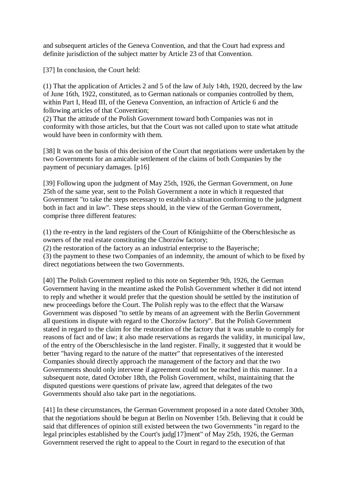and subsequent articles of the Geneva Convention, and that the Court had express and definite jurisdiction of the subject matter by Article 23 of that Convention.

[37] In conclusion, the Court held:

(1) That the application of Articles 2 and 5 of the law of July 14th, 1920, decreed by the law of June 16th, 1922, constituted, as to German nationals or companies controlled by them, within Part I, Head III, of the Geneva Convention, an infraction of Article 6 and the following articles of that Convention;

(2) That the attitude of the Polish Government toward both Companies was not in conformity with those articles, but that the Court was not called upon to state what attitude would have been in conformity with them.

[38] It was on the basis of this decision of the Court that negotiations were undertaken by the two Governments for an amicable settlement of the claims of both Companies by the payment of pecuniary damages. [p16]

[39] Following upon the judgment of May 25th, 1926, the German Government, on June 25th of the same year, sent to the Polish Government a note in which it requested that Government "to take the steps necessary to establish a situation conforming to the judgment both in fact and in law". These steps should, in the view of the German Government, comprise three different features:

(1) the re-entry in the land registers of the Court of K6nigshiitte of the Oberschlesische as owners of the real estate constituting the Chorzów factory;

(2) the restoration of the factory as an industrial enterprise to the Bayerische;

(3) the payment to these two Companies of an indemnity, the amount of which to be fixed by direct negotiations between the two Governments.

[40] The Polish Government replied to this note on September 9th, 1926, the German Government having in the meantime asked the Polish Government whether it did not intend to reply and whether it would prefer that the question should be settled by the institution of new proceedings before the Court. The Polish reply was to the effect that the Warsaw Government was disposed "to settle by means of an agreement with the Berlin Government all questions in dispute with regard to the Chorzów factory". But the Polish Government stated in regard to the claim for the restoration of the factory that it was unable to comply for reasons of fact and of law; it also made reservations as regards the validity, in municipal law, of the entry of the Oberschlesische in the land register. Finally, it suggested that it would be better "having regard to the nature of the matter" that representatives of the interested Companies should directly approach the management of the factory and that the two Governments should only intervene if agreement could not be reached in this manner. In a subsequent note, dated October 18th, the Polish Government, whilst, maintaining that the disputed questions were questions of private law, agreed that delegates of the two Governments should also take part in the negotiations.

[41] In these circumstances, the German Government proposed in a note dated October 30th, that the negotiations should be begun at Berlin on November 15th. Believing that it could be said that differences of opinion still existed between the two Governments "in regard to the legal principles established by the Court's judg[17]ment" of May 25th, 1926, the German Government reserved the right to appeal to the Court in regard to the execution of that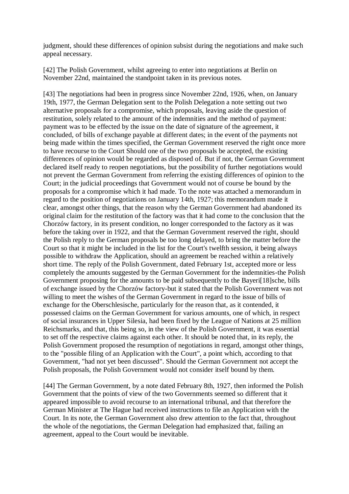judgment, should these differences of opinion subsist during the negotiations and make such appeal necessary.

[42] The Polish Government, whilst agreeing to enter into negotiations at Berlin on November 22nd, maintained the standpoint taken in its previous notes.

[43] The negotiations had been in progress since November 22nd, 1926, when, on January 19th, 1977, the German Delegation sent to the Polish Delegation a note setting out two alternative proposals for a compromise, which proposals, leaving aside the question of restitution, solely related to the amount of the indemnities and the method of payment: payment was to be effected by the issue on the date of signature of the agreement, it concluded, of bills of exchange payable at different dates; in the event of the payments not being made within the times specified, the German Government reserved the right once more to have recourse to the Court Should one of the two proposals be accepted, the existing differences of opinion would be regarded as disposed of. But if not, the German Government declared itself ready to reopen negotiations, but the possibility of further negotiations would not prevent the German Government from referring the existing differences of opinion to the Court; in the judicial proceedings that Government would not of course be bound by the proposals for a compromise which it had made. To the note was attached a memorandum in regard to the position of negotiations on January 14th, 1927; this memorandum made it clear, amongst other things, that the reason why the German Government had abandoned its original claim for the restitution of the factory was that it had come to the conclusion that the Chorzów factory, in its present condition, no longer corresponded to the factory as it was before the taking over in 1922, and that the German Government reserved the right, should the Polish reply to the German proposals be too long delayed, to bring the matter before the Court so that it might be included in the list for the Court's twelfth session, it being always possible to withdraw the Application, should an agreement be reached within a relatively short time. The reply of the Polish Government, dated February 1st, accepted more or less completely the amounts suggested by the German Government for the indemnities-the Polish Government proposing for the amounts to be paid subsequently to the Bayeri[18]sche, bills of exchange issued by the Chorzów factory-but it stated that the Polish Government was not willing to meet the wishes of the German Government in regard to the issue of bills of exchange for the Oberschlesische, particularly for the reason that, as it contended, it possessed claims on the German Government for various amounts, one of which, in respect of social insurances in Upper Silesia, had been fixed by the League of Nations at 25 million Reichsmarks, and that, this being so, in the view of the Polish Government, it was essential to set off the respective claims against each other. It should be noted that, in its reply, the Polish Government proposed the resumption of negotiations in regard, amongst other things, to the "possible filing of an Application with the Court", a point which, according to that Government, "had not yet been discussed". Should the German Government not accept the Polish proposals, the Polish Government would not consider itself bound by them.

[44] The German Government, by a note dated February 8th, 1927, then informed the Polish Government that the points of view of the two Governments seemed so different that it appeared impossible to avoid recourse to an international tribunal, and that therefore the German Minister at The Hague had received instructions to file an Application with the Court. In its note, the German Government also drew attention to the fact that, throughout the whole of the negotiations, the German Delegation had emphasized that, failing an agreement, appeal to the Court would be inevitable.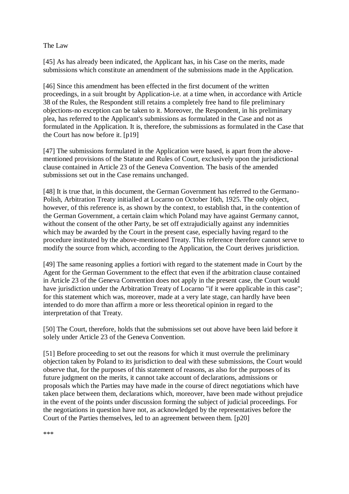### The Law

[45] As has already been indicated, the Applicant has, in his Case on the merits, made submissions which constitute an amendment of the submissions made in the Application.

[46] Since this amendment has been effected in the first document of the written proceedings, in a suit brought by Application-i.e. at a time when, in accordance with Article 38 of the Rules, the Respondent still retains a completely free hand to file preliminary objections-no exception can be taken to it. Moreover, the Respondent, in his preliminary plea, has referred to the Applicant's submissions as formulated in the Case and not as formulated in the Application. It is, therefore, the submissions as formulated in the Case that the Court has now before it. [p19]

[47] The submissions formulated in the Application were based, is apart from the abovementioned provisions of the Statute and Rules of Court, exclusively upon the jurisdictional clause contained in Article 23 of the Geneva Convention. The basis of the amended submissions set out in the Case remains unchanged.

[48] It is true that, in this document, the German Government has referred to the Germano-Polish, Arbitration Treaty initialled at Locarno on October 16th, 1925. The only object, however, of this reference is, as shown by the context, to establish that, in the contention of the German Government, a certain claim which Poland may have against Germany cannot, without the consent of the other Party, be set off extrajudicially against any indemnities which may be awarded by the Court in the present case, especially having regard to the procedure instituted by the above-mentioned Treaty. This reference therefore cannot serve to modify the source from which, according to the Application, the Court derives jurisdiction.

[49] The same reasoning applies a fortiori with regard to the statement made in Court by the Agent for the German Government to the effect that even if the arbitration clause contained in Article 23 of the Geneva Convention does not apply in the present case, the Court would have jurisdiction under the Arbitration Treaty of Locarno "if it were applicable in this case"; for this statement which was, moreover, made at a very late stage, can hardly have been intended to do more than affirm a more or less theoretical opinion in regard to the interpretation of that Treaty.

[50] The Court, therefore, holds that the submissions set out above have been laid before it solely under Article 23 of the Geneva Convention.

[51] Before proceeding to set out the reasons for which it must overrule the preliminary objection taken by Poland to its jurisdiction to deal with these submissions, the Court would observe that, for the purposes of this statement of reasons, as also for the purposes of its future judgment on the merits, it cannot take account of declarations, admissions or proposals which the Parties may have made in the course of direct negotiations which have taken place between them, declarations which, moreover, have been made without prejudice in the event of the points under discussion forming the subject of judicial proceedings. For the negotiations in question have not, as acknowledged by the representatives before the Court of the Parties themselves, led to an agreement between them. [p20]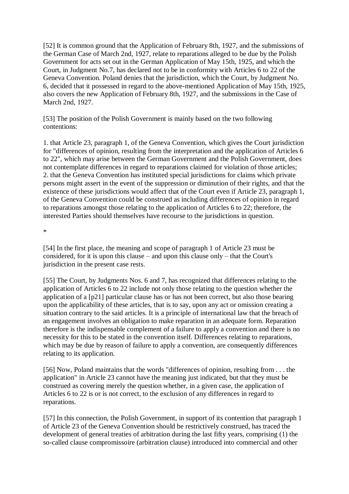[52] It is common ground that the Application of February 8th, 1927, and the submissions of the German Case of March 2nd, 1927, relate to reparations alleged to be due by the Polish Government for acts set out in the German Application of May 15th, 1925, and which the Court, in Judgment No.7, has declared not to be in conformity with Articles 6 to 22 of the Geneva Convention. Poland denies that the jurisdiction, which the Court, by Judgment No. 6, decided that it possessed in regard to the above-mentioned Application of May 15th, 1925, also covers the new Application of February 8th, 1927, and the submissions in the Case of March 2nd, 1927.

[53] The position of the Polish Government is mainly based on the two following contentions:

1. that Article 23, paragraph 1, of the Geneva Convention, which gives the Court jurisdiction for "differences of opinion, resulting from the interpretation and the application of Articles 6 to 22", which may arise between the German Government and the Polish Government, does not contemplate differences in regard to reparations claimed for violation of those articles; 2. that the Geneva Convention has instituted special jurisdictions for claims which private persons might assert in the event of the suppression or diminution of their rights, and that the existence of these jurisdictions would affect that of the Court even if Article 23, paragraph 1, of the Geneva Convention could be construed as including differences of opinion in regard to reparations amongst those relating to the application of Articles 6 to 22; therefore, the interested Parties should themselves have recourse to the jurisdictions in question.

\*

[54] In the first place, the meaning and scope of paragraph 1 of Article 23 must be considered, for it is upon this clause – and upon this clause only – that the Court's jurisdiction in the present case rests.

[55] The Court, by Judgments Nos. 6 and 7, has recognized that differences relating to the application of Articles 6 to 22 include not only those relating to the question whether the application of a [p21] particular clause has or has not been correct, but also those bearing upon the applicability of these articles, that is to say, upon any act or omission creating a situation contrary to the said articles. It is a principle of international law that the breach of an engagement involves an obligation to make reparation in an adequate form. Reparation therefore is the indispensable complement of a failure to apply a convention and there is no necessity for this to be stated in the convention itself. Differences relating to reparations, which may be due by reason of failure to apply a convention, are consequently differences relating to its application.

[56] Now, Poland maintains that the words "differences of opinion, resulting from . . . the application" in Article 23 cannot have the meaning just indicated, but that they must be construed as covering merely the question whether, in a given case, the application of Articles 6 to 22 is or is not correct, to the exclusion of any differences in regard to reparations.

[57] In this connection, the Polish Government, in support of its contention that paragraph 1 of Article 23 of the Geneva Convention should be restrictively construed, has traced the development of general treaties of arbitration during the last fifty years, comprising (1) the so-called clause compromissoire (arbitration clause) introduced into commercial and other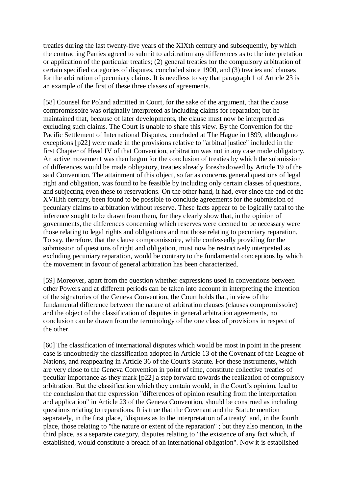treaties during the last twenty-five years of the XIXth century and subsequently, by which the contracting Parties agreed to submit to arbitration any differences as to the interpretation or application of the particular treaties; (2) general treaties for the compulsory arbitration of certain specified categories of disputes, concluded since 1900, and (3) treaties and clauses for the arbitration of pecuniary claims. It is needless to say that paragraph 1 of Article 23 is an example of the first of these three classes of agreements.

[58] Counsel for Poland admitted in Court, for the sake of the argument, that the clause compromissoire was originally interpreted as including claims for reparation; but he maintained that, because of later developments, the clause must now be interpreted as excluding such claims. The Court is unable to share this view. By the Convention for the Pacific Settlement of International Disputes, concluded at The Hague in 1899, although no exceptions [p22] were made in the provisions relative to "arbitral justice" included in the first Chapter of Head IV of that Convention, arbitration was not in any case made obligatory. An active movement was then begun for the conclusion of treaties by which the submission of differences would be made obligatory, treaties already foreshadowed by Article 19 of the said Convention. The attainment of this object, so far as concerns general questions of legal right and obligation, was found to be feasible by including only certain classes of questions, and subjecting even these to reservations. On the other hand, it had, ever since the end of the XVIIIth century, been found to be possible to conclude agreements for the submission of pecuniary claims to arbitration without reserve. These facts appear to be logically fatal to the inference sought to be drawn from them, for they clearly show that, in the opinion of governments, the differences concerning which reserves were deemed to be necessary were those relating to legal rights and obligations and not those relating to pecuniary reparation. To say, therefore, that the clause compromissoire, while confessedly providing for the submission of questions of right and obligation, must now be restrictively interpreted as excluding pecuniary reparation, would be contrary to the fundamental conceptions by which the movement in favour of general arbitration has been characterized.

[59] Moreover, apart from the question whether expressions used in conventions between other Powers and at different periods can be taken into account in interpreting the intention of the signatories of the Geneva Convention, the Court holds that, in view of the fundamental difference between the nature of arbitration clauses (clauses compromissoire) and the object of the classification of disputes in general arbitration agreements, no conclusion can be drawn from the terminology of the one class of provisions in respect of the other.

[60] The classification of international disputes which would be most in point in the present case is undoubtedly the classification adopted in Article 13 of the Covenant of the League of Nations, and reappearing in Article 36 of the Court's Statute. For these instruments, which are very close to the Geneva Convention in point of time, constitute collective treaties of peculiar importance as they mark [p22] a step forward towards the realization of compulsory arbitration. But the classification which they contain would, in the Court's opinion, lead to the conclusion that the expression "differences of opinion resulting from the interpretation and application" in Article 23 of the Geneva Convention, should be construed as including questions relating to reparations. It is true that the Covenant and the Statute mention separately, in the first place, "disputes as to the interpretation of a treaty" and, in the fourth place, those relating to "the nature or extent of the reparation" ; but they also mention, in the third place, as a separate category, disputes relating to "the existence of any fact which, if established, would constitute a breach of an international obligation". Now it is established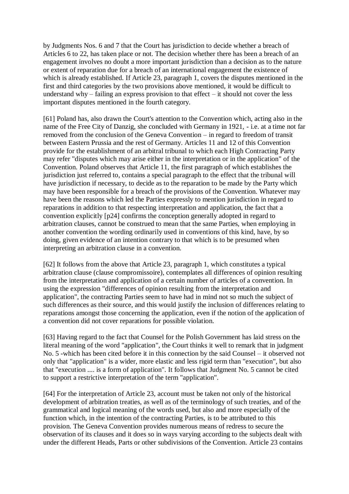by Judgments Nos. 6 and 7 that the Court has jurisdiction to decide whether a breach of Articles 6 to 22, has taken place or not. The decision whether there has been a breach of an engagement involves no doubt a more important jurisdiction than a decision as to the nature or extent of reparation due for a breach of an international engagement the existence of which is already established. If Article 23, paragraph 1, covers the disputes mentioned in the first and third categories by the two provisions above mentioned, it would be difficult to understand why – failing an express provision to that effect – it should not cover the less important disputes mentioned in the fourth category.

[61] Poland has, also drawn the Court's attention to the Convention which, acting also in the name of the Free City of Danzig, she concluded with Germany in 1921, - i.e. at a time not far removed from the conclusion of the Geneva Convention – in regard to freedom of transit between Eastern Prussia and the rest of Germany. Articles 11 and 12 of this Convention provide for the establishment of an arbitral tribunal to which each High Contracting Party may refer "disputes which may arise either in the interpretation or in the application" of the Convention. Poland observes that Article 11, the first paragraph of which establishes the jurisdiction just referred to, contains a special paragraph to the effect that the tribunal will have jurisdiction if necessary, to decide as to the reparation to be made by the Party which may have been responsible for a breach of the provisions of the Convention. Whatever may have been the reasons which led the Parties expressly to mention jurisdiction in regard to reparations in addition to that respecting interpretation and application, the fact that a convention explicitly [p24] confirms the conception generally adopted in regard to arbitration clauses, cannot be construed to mean that the same Parties, when employing in another convention the wording ordinarily used in conventions of this kind, have, by so doing, given evidence of an intention contrary to that which is to be presumed when interpreting an arbitration clause in a convention.

[62] It follows from the above that Article 23, paragraph 1, which constitutes a typical arbitration clause (clause compromissoire), contemplates all differences of opinion resulting from the interpretation and application of a certain number of articles of a convention. In using the expression "differences of opinion resulting from the interpretation and application", the contracting Parties seem to have had in mind not so much the subject of such differences as their source, and this would justify the inclusion of differences relating to reparations amongst those concerning the application, even if the notion of the application of a convention did not cover reparations for possible violation.

[63] Having regard to the fact that Counsel for the Polish Government has laid stress on the literal meaning of the word "application", the Court thinks it well to remark that in judgment No. 5 -which has been cited before it in this connection by the said Counsel – it observed not only that "application" is a wider, more elastic and less rigid term than "execution", but also that "execution .... is a form of application". It follows that Judgment No. 5 cannot be cited to support a restrictive interpretation of the term "application".

[64] For the interpretation of Article 23, account must be taken not only of the historical development of arbitration treaties, as well as of the terminology of such treaties, and of the grammatical and logical meaning of the words used, but also and more especially of the function which, in the intention of the contracting Parties, is to be attributed to this provision. The Geneva Convention provides numerous means of redress to secure the observation of its clauses and it does so in ways varying according to the subjects dealt with under the different Heads, Parts or other subdivisions of the Convention. Article 23 contains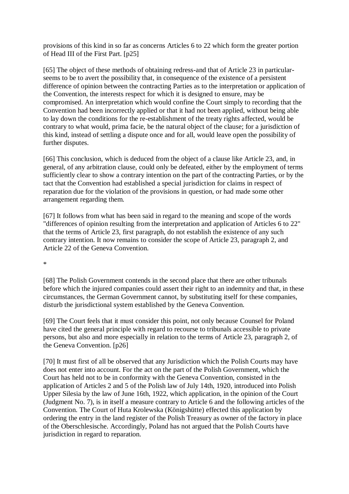provisions of this kind in so far as concerns Articles 6 to 22 which form the greater portion of Head III of the First Part. [p25]

[65] The object of these methods of obtaining redress-and that of Article 23 in particularseems to be to avert the possibility that, in consequence of the existence of a persistent difference of opinion between the contracting Parties as to the interpretation or application of the Convention, the interests respect for which it is designed to ensure, may be compromised. An interpretation which would confine the Court simply to recording that the Convention had been incorrectly applied or that it had not been applied, without being able to lay down the conditions for the re-establishment of the treaty rights affected, would be contrary to what would, prima facie, be the natural object of the clause; for a jurisdiction of this kind, instead of settling a dispute once and for all, would leave open the possibility of further disputes.

[66] This conclusion, which is deduced from the object of a clause like Article 23, and, in general, of any arbitration clause, could only be defeated, either by the employment of terms sufficiently clear to show a contrary intention on the part of the contracting Parties, or by the tact that the Convention had established a special jurisdiction for claims in respect of reparation due for the violation of the provisions in question, or had made some other arrangement regarding them.

[67] It follows from what has been said in regard to the meaning and scope of the words "differences of opinion resulting from the interpretation and application of Articles 6 to 22" that the terms of Article 23, first paragraph, do not establish the existence of any such contrary intention. It now remains to consider the scope of Article 23, paragraph 2, and Article 22 of the Geneva Convention.

\*

[68] The Polish Government contends in the second place that there are other tribunals before which the injured companies could assert their right to an indemnity and that, in these circumstances, the German Government cannot, by substituting itself for these companies, disturb the jurisdictional system established by the Geneva Convention.

[69] The Court feels that it must consider this point, not only because Counsel for Poland have cited the general principle with regard to recourse to tribunals accessible to private persons, but also and more especially in relation to the terms of Article 23, paragraph 2, of the Geneva Convention. [p26]

[70] It must first of all be observed that any Jurisdiction which the Polish Courts may have does not enter into account. For the act on the part of the Polish Government, which the Court has held not to be in conformity with the Geneva Convention, consisted in the application of Articles 2 and 5 of the Polish law of July 14th, 1920, introduced into Polish Upper Silesia by the law of June 16th, 1922, which application, in the opinion of the Court (Judgment No. 7), is in itself a measure contrary to Article 6 and the following articles of the Convention. The Court of Huta Krolewska (Königshütte) effected this application by ordering the entry in the land register of the Polish Treasury as owner of the factory in place of the Oberschlesische. Accordingly, Poland has not argued that the Polish Courts have jurisdiction in regard to reparation.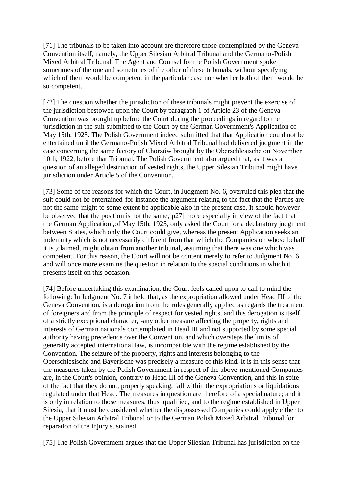[71] The tribunals to be taken into account are therefore those contemplated by the Geneva Convention itself, namely, the Upper Silesian Arbitral Tribunal and the Germano-Polish Mixed Arbitral Tribunal. The Agent and Counsel for the Polish Government spoke sometimes of the one and sometimes of the other of these tribunals, without specifying which of them would be competent in the particular case nor whether both of them would be so competent.

[72] The question whether the jurisdiction of these tribunals might prevent the exercise of the jurisdiction bestowed upon the Court by paragraph 1 of Article 23 of the Geneva Convention was brought up before the Court during the proceedings in regard to the jurisdiction in the suit submitted to the Court by the German Government's Application of May 15th, 1925. The Polish Government indeed submitted that that Application could not be entertained until the Germano-Polish Mixed Arbitral Tribunal had delivered judgment in the case concerning the same factory of Chorzów brought by the Oberschlesische on November 10th, 1922, before that Tribunal. The Polish Government also argued that, as it was a question of an alleged destruction of vested rights, the Upper Silesian Tribunal might have jurisdiction under Article 5 of the Convention.

[73] Some of the reasons for which the Court, in Judgment No. 6, overruled this plea that the suit could not be entertained-for instance the argument relating to the fact that the Parties are not the same-might to some extent be applicable also in the present case. It should however be observed that the position is not the same,[p27] more especially in view of the fact that the German Application ,of May 15th, 1925, only asked the Court for a declaratory judgment between States, which only the Court could give, whereas the present Application seeks an indemnity which is not necessarily different from that which the Companies on whose behalf it is ,claimed, might obtain from another tribunal, assuming that there was one which was competent. For this reason, the Court will not be content merely to refer to Judgment No. 6 and will once more examine the question in relation to the special conditions in which it presents itself on this occasion.

[74] Before undertaking this examination, the Court feels called upon to call to mind the following: In Judgment No. 7 it held that, as the expropriation allowed under Head III of the Geneva Convention, is a derogation from the rules generally applied as regards the treatment of foreigners and from the principle of respect for vested rights, and this derogation is itself of a strictly exceptional character, -any other measure affecting the property, rights and interests of German nationals contemplated in Head III and not supported by some special authority having precedence over the Convention, and which oversteps the limits of generally accepted international law, is incompatible with the regime established by the Convention. The seizure of the property, rights and interests belonging to the Oberschlesische and Bayerische was precisely a measure of this kind. It is in this sense that the measures taken by the Polish Government in respect of the above-mentioned Companies are, in the Court's opinion, contrary to Head III of the Geneva Convention, and this in spite of the fact that they do not, properly speaking, fall within the expropriations or liquidations regulated under that Head. The measures in question are therefore of a special nature; and it is only in relation to those measures, thus ,qualified, and to the regime established in Upper Silesia, that it must be considered whether the dispossessed Companies could apply either to the Upper Silesian Arbitral Tribunal or to the German Polish Mixed Arbitral Tribunal for reparation of the injury sustained.

[75] The Polish Government argues that the Upper Silesian Tribunal has jurisdiction on the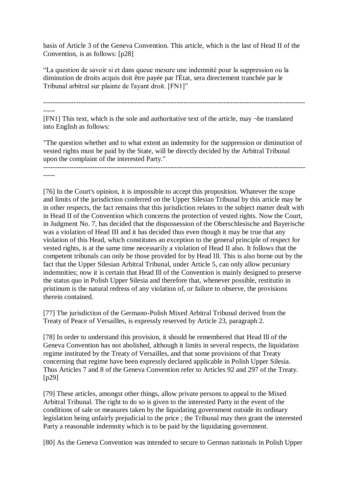basis of Article 3 of the Geneva Convention. This article, which is the last of Head II of the Convention, is as follows: [p28]

"La question de savoir si et dans queue mesure une indemnité pour la suppression ou la diminution de droits acquis doit être payée par l'État, sera directement tranchée par le Tribunal arbitral sur plainte de l'ayant droit. [FN1]"

---------------------------------------------------------------------------------------------------------------- -----

[FN1] This text, which is the sole and authoritative text of the article, may ¬be translated into English as follows:

"The question whether and to what extent an indemnity for the suppression or diminution of vested rights must be paid by the State, will be directly decided by the Arbitral Tribunal upon the complaint of the interested Party."

---------------------------------------------------------------------------------------------------------------- -----

[76] In the Court's opinion, it is impossible to accept this proposition. Whatever the scope and limits of the jurisdiction conferred on the Upper Silesian Tribunal by this article may be in other respects, the fact remains that this jurisdiction relates to the subject matter dealt with in Head II of the Convention which concerns the protection of vested rights. Now the Court, in Judgment No. 7, has decided that the dispossession of the Oberschlesische and Bayerische was a violation of Head III and it has decided thus even though it may be true that any violation of this Head, which constitutes an exception to the general principle of respect for vested rights, is at the same time necessarily a violation of Head II also. It follows that the competent tribunals can only be those provided for by Head Ill. This is also borne out by the fact that the Upper Silesian Arbitral Tribunal, under Article 5, can only allow pecuniary indemnities; now it is certain that Head Ill of the Convention is mainly designed to preserve the status quo in Polish Upper Silesia and therefore that, whenever possible, restitutio in pristinum is the natural redress of any violation of, or failure to observe, the provisions therein contained.

[77] The jurisdiction of the Germano-Polish Mixed Arbitral Tribunal derived from the Treaty of Peace of Versailles, is expressly reserved by Article 23, paragraph 2.

[78] In order to understand this provision, it should be remembered that Head Ill of the Geneva Convention has not abolished, although it limits in several respects, the liquidation regime instituted by the Treaty of Versailles, and that some provisions of that Treaty concerning that regime have been expressly declared applicable in Polish Upper Silesia. Thus Articles 7 and 8 of the Geneva Convention refer to Articles 92 and 297 of the Treaty. [p29]

[79] These articles, amongst other things, allow private persons to appeal to the Mixed Arbitral Tribunal. The right to do so is given to the interested Party in the event of the conditions of sale or measures taken by the liquidating government outside its ordinary legislation being unfairly prejudicial to the price ; the Tribunal may then grant the interested Party a reasonable indemnity which is to be paid by the liquidating government.

[80] As the Geneva Convention was intended to secure to German nationals in Polish Upper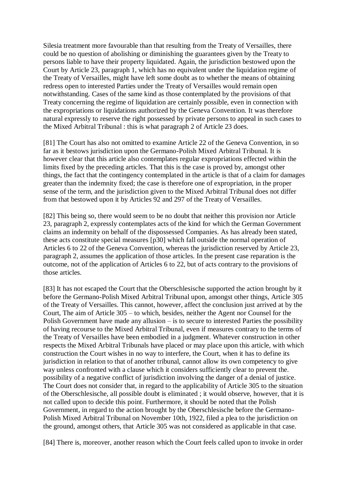Silesia treatment more favourable than that resulting from the Treaty of Versailles, there could be no question of abolishing or diminishing the guarantees given by the Treaty to persons liable to have their property liquidated. Again, the jurisdiction bestowed upon the Court by Article 23, paragraph 1, which has no equivalent under the liquidation regime of the Treaty of Versailles, might have left some doubt as to whether the means of obtaining redress open to interested Parties under the Treaty of Versailles would remain open notwithstanding. Cases of the same kind as those contemplated by the provisions of that Treaty concerning the regime of liquidation are certainly possible, even in connection with the expropriations or liquidations authorized by the Geneva Convention. It was therefore natural expressly to reserve the right possessed by private persons to appeal in such cases to the Mixed Arbitral Tribunal : this is what paragraph 2 of Article 23 does.

[81] The Court has also not omitted to examine Article 22 of the Geneva Convention, in so far as it bestows jurisdiction upon the Germano-Polish Mixed Arbitral Tribunal. It is however clear that this article also contemplates regular expropriations effected within the limits fixed by the preceding articles. That this is the case is proved by, amongst other things, the fact that the contingency contemplated in the article is that of a claim for damages greater than the indemnity fixed; the case is therefore one of expropriation, in the proper sense of the term, and the jurisdiction given to the Mixed Arbitral Tribunal does not differ from that bestowed upon it by Articles 92 and 297 of the Treaty of Versailles.

[82] This being so, there would seem to be no doubt that neither this provision nor Article 23, paragraph 2, expressly contemplates acts of the kind for which the German Government claims an indemnity on behalf of the dispossessed Companies. As has already been stated, these acts constitute special measures [p30] which fall outside the normal operation of Articles 6 to 22 of the Geneva Convention, whereas the jurisdiction reserved by Article 23, paragraph 2, assumes the application of those articles. In the present case reparation is the outcome, not of the application of Articles 6 to 22, but of acts contrary to the provisions of those articles.

[83] It has not escaped the Court that the Oberschlesische supported the action brought by it before the Germano-Polish Mixed Arbitral Tribunal upon, amongst other things, Article 305 of the Treaty of Versailles. This cannot, however, affect the conclusion just arrived at by the Court, The aim of Article 305 – to which, besides, neither the Agent nor Counsel for the Polish Government have made any allusion – is to secure to interested Parties the possibility of having recourse to the Mixed Arbitral Tribunal, even if measures contrary to the terms of the Treaty of Versailles have been embodied in a judgment. Whatever construction in other respects the Mixed Arbitral Tribunals have placed or may place upon this article, with which construction the Court wishes in no way to interfere, the Court, when it has to define its jurisdiction in relation to that of another tribunal, cannot allow its own competency to give way unless confronted with a clause which it considers sufficiently clear to prevent the. possibility of a negative conflict of jurisdiction involving the danger of a denial of justice. The Court does not consider that, in regard to the applicability of Article 305 to the situation of the Oberschlesische, all possible doubt is eliminated ; it would observe, however, that it is not called upon to decide this point. Furthermore, it should be noted that the Polish Government, in regard to the action brought by the Oberschlesische before the Germano-Polish Mixed Arbitral Tribunal on November 10th, 1922, filed a plea to the jurisdiction on the ground, amongst others, that Article 305 was not considered as applicable in that case.

[84] There is, moreover, another reason which the Court feels called upon to invoke in order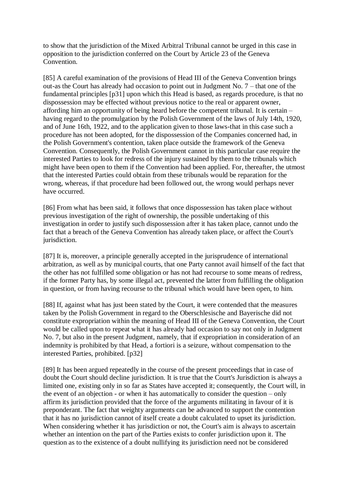to show that the jurisdiction of the Mixed Arbitral Tribunal cannot be urged in this case in opposition to the jurisdiction conferred on the Court by Article 23 of the Geneva Convention.

[85] A careful examination of the provisions of Head III of the Geneva Convention brings out-as the Court has already had occasion to point out in Judgment No. 7 – that one of the fundamental principles [p31] upon which this Head is based, as regards procedure, is that no dispossession may be effected without previous notice to the real or apparent owner, affording him an opportunity of being heard before the competent tribunal. It is certain – having regard to the promulgation by the Polish Government of the laws of July 14th, 1920, and of June 16th, 1922, and to the application given to those laws-that in this case such a procedure has not been adopted, for the dispossession of the Companies concerned had, in the Polish Government's contention, taken place outside the framework of the Geneva Convention. Consequently, the Polish Government cannot in this particular case require the interested Parties to look for redress of the injury sustained by them to the tribunals which might have been open to them if the Convention had been applied. For, thereafter, the utmost that the interested Parties could obtain from these tribunals would be reparation for the wrong, whereas, if that procedure had been followed out, the wrong would perhaps never have occurred.

[86] From what has been said, it follows that once dispossession has taken place without previous investigation of the right of ownership, the possible undertaking of this investigation in order to justify such dispossession after it has taken place, cannot undo the fact that a breach of the Geneva Convention has already taken place, or affect the Court's jurisdiction.

[87] It is, moreover, a principle generally accepted in the jurisprudence of international arbitration, as well as by municipal courts, that one Party cannot avail himself of the fact that the other has not fulfilled some obligation or has not had recourse to some means of redress, if the former Party has, by some illegal act, prevented the latter from fulfilling the obligation in question, or from having recourse to the tribunal which would have been open, to him.

[88] If, against what has just been stated by the Court, it were contended that the measures taken by the Polish Government in regard to the Oberschlesische and Bayerische did not constitute expropriation within the meaning of Head III of the Geneva Convention, the Court would be called upon to repeat what it has already had occasion to say not only in Judgment No. 7, but also in the present Judgment, namely, that if expropriation in consideration of an indemnity is prohibited by that Head, a fortiori is a seizure, without compensation to the interested Parties, prohibited. [p32]

[89] It has been argued repeatedly in the course of the present proceedings that in case of doubt the Court should decline jurisdiction. It is true that the Court's Jurisdiction is always a limited one, existing only in so far as States have accepted it; consequently, the Court will, in the event of an objection - or when it has automatically to consider the question – only affirm its jurisdiction provided that the force of the arguments militating in favour of it is preponderant. The fact that weighty arguments can be advanced to support the contention that it has no jurisdiction cannot of itself create a doubt calculated to upset its jurisdiction. When considering whether it has jurisdiction or not, the Court's aim is always to ascertain whether an intention on the part of the Parties exists to confer jurisdiction upon it. The question as to the existence of a doubt nullifying its jurisdiction need not be considered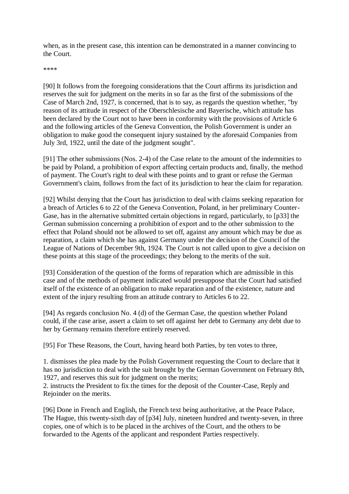when, as in the present case, this intention can be demonstrated in a manner convincing to the Court.

\*\*\*\*

[90] It follows from the foregoing considerations that the Court affirms its jurisdiction and reserves the suit for judgment on the merits in so far as the first of the submissions of the Case of March 2nd, 1927, is concerned, that is to say, as regards the question whether, "by reason of its attitude in respect of the Oberschlesische and Bayerische, which attitude has been declared by the Court not to have been in conformity with the provisions of Article 6 and the following articles of the Geneva Convention, the Polish Government is under an obligation to make good the consequent injury sustained by the aforesaid Companies from July 3rd, 1922, until the date of the judgment sought".

[91] The other submissions (Nos. 2-4) of the Case relate to the amount of the indemnities to be paid by Poland, a prohibition of export affecting certain products and, finally, the method of payment. The Court's right to deal with these points and to grant or refuse the German Government's claim, follows from the fact of its jurisdiction to hear the claim for reparation.

[92] Whilst denying that the Court has jurisdiction to deal with claims seeking reparation for a breach of Articles 6 to 22 of the Geneva Convention, Poland, in her preliminary Counter-Gase, has in the alternative submitted certain objections in regard, particularly, to [p33] the German submission concerning a prohibition of export and to the other submission to the effect that Poland should not be allowed to set off, against any amount which may be due as reparation, a claim which she has against Germany under the decision of the Council of the League of Nations of December 9th, 1924. The Court is not called upon to give a decision on these points at this stage of the proceedings; they belong to the merits of the suit.

[93] Consideration of the question of the forms of reparation which are admissible in this case and of the methods of payment indicated would presuppose that the Court had satisfied itself of the existence of an obligation to make reparation and of the existence, nature and extent of the injury resulting from an attitude contrary to Articles 6 to 22.

[94] As regards conclusion No. 4 (d) of the German Case, the question whether Poland could, if the case arise, assert a claim to set off against her debt to Germany any debt due to her by Germany remains therefore entirely reserved.

[95] For These Reasons, the Court, having heard both Parties, by ten votes to three,

1. dismisses the plea made by the Polish Government requesting the Court to declare that it has no jurisdiction to deal with the suit brought by the German Government on February 8th, 1927, and reserves this suit for judgment on the merits;

2. instructs the President to fix the times for the deposit of the Counter-Case, Reply and Rejoinder on the merits.

[96] Done in French and English, the French text being authoritative, at the Peace Palace, The Hague, this twenty-sixth day of [p34] July, nineteen hundred and twenty-seven, in three copies, one of which is to be placed in the archives of the Court, and the others to be forwarded to the Agents of the applicant and respondent Parties respectively.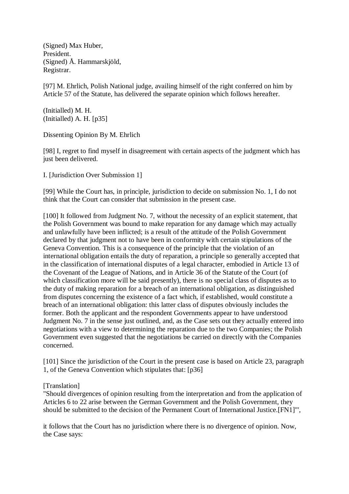(Signed) Max Huber, President. (Signed) Å. Hammarskjöld, Registrar.

[97] M. Ehrlich, Polish National judge, availing himself of the right conferred on him by Article 57 of the Statute, has delivered the separate opinion which follows hereafter.

(Initialled) M. H. (Initialled) A. H. [p35]

Dissenting Opinion By M. Ehrlich

[98] I, regret to find myself in disagreement with certain aspects of the judgment which has just been delivered.

I. [Jurisdiction Over Submission 1]

[99] While the Court has, in principle, jurisdiction to decide on submission No. 1, I do not think that the Court can consider that submission in the present case.

[100] It followed from Judgment No. 7, without the necessity of an explicit statement, that the Polish Government was bound to make reparation for any damage which may actually and unlawfully have been inflicted; is a result of the attitude of the Polish Government declared by that judgment not to have been in conformity with certain stipulations of the Geneva Convention. This is a consequence of the principle that the violation of an international obligation entails the duty of reparation, a principle so generally accepted that in the classification of international disputes of a legal character, embodied in Article 13 of the Covenant of the League of Nations, and in Article 36 of the Statute of the Court (of which classification more will be said presently), there is no special class of disputes as to the duty of making reparation for a breach of an international obligation, as distinguished from disputes concerning the existence of a fact which, if established, would constitute a breach of an international obligation: this latter class of disputes obviously includes the former. Both the applicant and the respondent Governments appear to have understood Judgment No. 7 in the sense just outlined, and, as the Case sets out they actually entered into negotiations with a view to determining the reparation due to the two Companies; the Polish Government even suggested that the negotiations be carried on directly with the Companies concerned.

[101] Since the jurisdiction of the Court in the present case is based on Article 23, paragraph 1, of the Geneva Convention which stipulates that: [p36]

[Translation]

"Should divergences of opinion resulting from the interpretation and from the application of Articles 6 to 22 arise between the German Government and the Polish Government, they should be submitted to the decision of the Permanent Court of International Justice.[FN1]"',

it follows that the Court has no jurisdiction where there is no divergence of opinion. Now, the Case says: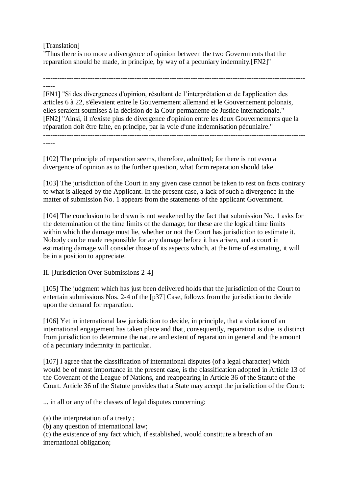# [Translation]

"Thus there is no more a divergence of opinion between the two Governments that the reparation should be made, in principle, by way of a pecuniary indemnity.[FN2]"

---------------------------------------------------------------------------------------------------------------- -----

[FN1] "Si des divergences d'opinion, résultant de l'interprétation et de l'application des articles 6 à 22, s'élevaient entre le Gouvernement allemand et le Gouvernement polonais, elles seraient soumises à la décision de la Cour permanente de Justice internationale." [FN2] "Ainsi, il n'existe plus de divergence d'opinion entre les deux Gouvernements que la réparation doit être faite, en principe, par la voie d'une indemnisation pécuniaire." ----------------------------------------------------------------------------------------------------------------

-----

[102] The principle of reparation seems, therefore, admitted; for there is not even a divergence of opinion as to the further question, what form reparation should take.

[103] The jurisdiction of the Court in any given case cannot be taken to rest on facts contrary to what is alleged by the Applicant. In the present case, a lack of such a divergence in the matter of submission No. 1 appears from the statements of the applicant Government.

[104] The conclusion to be drawn is not weakened by the fact that submission No. 1 asks for the determination of the time limits of the damage; for these are the logical time limits within which the damage must lie, whether or not the Court has jurisdiction to estimate it. Nobody can be made responsible for any damage before it has arisen, and a court in estimating damage will consider those of its aspects which, at the time of estimating, it will be in a position to appreciate.

II. [Jurisdiction Over Submissions 2-4]

[105] The judgment which has just been delivered holds that the jurisdiction of the Court to entertain submissions Nos. 2-4 of the [p37] Case, follows from the jurisdiction to decide upon the demand for reparation.

[106] Yet in international law jurisdiction to decide, in principle, that a violation of an international engagement has taken place and that, consequently, reparation is due, is distinct from jurisdiction to determine the nature and extent of reparation in general and the amount of a pecuniary indemnity in particular.

[107] I agree that the classification of international disputes (of a legal character) which would be of most importance in the present case, is the classification adopted in Article 13 of the Covenant of the League of Nations, and reappearing in Article 36 of the Statute of the Court. Article 36 of the Statute provides that a State may accept the jurisdiction of the Court:

... in all or any of the classes of legal disputes concerning:

(a) the interpretation of a treaty ;

(b) any question of international law;

(c) the existence of any fact which, if established, would constitute a breach of an international obligation;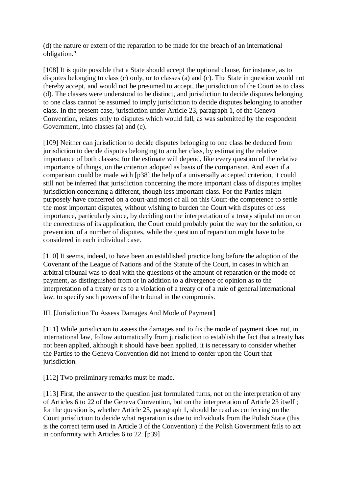(d) the nature or extent of the reparation to be made for the breach of an international obligation."

[108] It is quite possible that a State should accept the optional clause, for instance, as to disputes belonging to class (c) only, or to classes (a) and (c). The State in question would not thereby accept, and would not be presumed to accept, the jurisdiction of the Court as to class (d). The classes were understood to be distinct, and jurisdiction to decide disputes belonging to one class cannot be assumed to imply jurisdiction to decide disputes belonging to another class. In the present case, jurisdiction under Article 23, paragraph 1, of the Geneva Convention, relates only to disputes which would fall, as was submitted by the respondent Government, into classes (a) and (c).

[109] Neither can jurisdiction to decide disputes belonging to one class be deduced from jurisdiction to decide disputes belonging to another class, by estimating the relative importance of both classes; for the estimate will depend, like every question of the relative importance of things, on the criterion adopted as basis of the comparison. And even if a comparison could be made with [p38] the help of a universally accepted criterion, it could still not be inferred that jurisdiction concerning the more important class of disputes implies jurisdiction concerning a different, though less important class. For the Parties might purposely have conferred on a court-and most of all on this Court-the competence to settle the most important disputes, without wishing to burden the Court with disputes of less importance, particularly since, by deciding on the interpretation of a treaty stipulation or on the correctness of its application, the Court could probably point the way for the solution, or prevention, of a number of disputes, while the question of reparation might have to be considered in each individual case.

[110] It seems, indeed, to have been an established practice long before the adoption of the Covenant of the League of Nations and of the Statute of the Court, in cases in which an arbitral tribunal was to deal with the questions of the amount of reparation or the mode of payment, as distinguished from or in addition to a divergence of opinion as to the interpretation of a treaty or as to a violation of a treaty or of a rule of general international law, to specify such powers of the tribunal in the compromis.

III. [Jurisdiction To Assess Damages And Mode of Payment]

[111] While jurisdiction to assess the damages and to fix the mode of payment does not, in international law, follow automatically from jurisdiction to establish the fact that a treaty has not been applied, although it should have been applied, it is necessary to consider whether the Parties to the Geneva Convention did not intend to confer upon the Court that jurisdiction.

[112] Two preliminary remarks must be made.

[113] First, the answer to the question just formulated turns, not on the interpretation of any of Articles 6 to 22 of the Geneva Convention, but on the interpretation of Article 23 itself ; for the question is, whether Article 23, paragraph 1, should be read as conferring on the Court jurisdiction to decide what reparation is due to individuals from the Polish State (this is the correct term used in Article 3 of the Convention) if the Polish Government fails to act in conformity with Articles 6 to 22. [p39]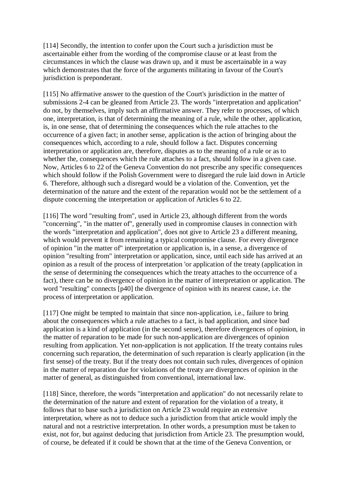[114] Secondly, the intention to confer upon the Court such a jurisdiction must be ascertainable either from the wording of the compromise clause or at least from the circumstances in which the clause was drawn up, and it must be ascertainable in a way which demonstrates that the force of the arguments militating in favour of the Court's jurisdiction is preponderant.

[115] No affirmative answer to the question of the Court's jurisdiction in the matter of submissions 2-4 can be gleaned from Article 23. The words "interpretation and application" do not, by themselves, imply such an affirmative answer. They refer to processes, of which one, interpretation, is that of determining the meaning of a rule, while the other, application, is, in one sense, that of determining the consequences which the rule attaches to the occurrence of a given fact; in another sense, application is the action of bringing about the consequences which, according to a rule, should follow a fact. Disputes concerning interpretation or application are, therefore, disputes as to the meaning of a rule or as to whether the, consequences which the rule attaches to a fact, should follow in a given case. Now, Articles 6 to 22 of the Geneva Convention do not prescribe any specific consequences which should follow if the Polish Government were to disregard the rule laid down in Article 6. Therefore, although such a disregard would be a violation of the. Convention, yet the determination of the nature and the extent of the reparation would not be the settlement of a dispute concerning the interpretation or application of Articles 6 to 22.

[116] The word "resulting from", used in Article 23, although different from the words "concerning", "in the matter of", generally used in compromise clauses in connection with the words "interpretation and application", does not give to Article 23 a different meaning, which would prevent it from remaining a typical compromise clause. For every divergence of opinion "in the matter of" interpretation or application is, in a sense, a divergence of opinion "resulting from" interpretation or application, since, until each side has arrived at an opinion as a result of the process of interpretation 'or application of the treaty (application in the sense of determining the consequences which the treaty attaches to the occurrence of a fact), there can be no divergence of opinion in the matter of interpretation or application. The word "resulting" connects [p40] the divergence of opinion with its nearest cause, i.e. the process of interpretation or application.

[117] One might be tempted to maintain that since non-application, i.e., failure to bring about the consequences which a rule attaches to a fact, is bad application, and since bad application is a kind of application (in the second sense), therefore divergences of opinion, in the matter of reparation to be made for such non-application are divergences of opinion resulting from application. Yet non-application is not application. If the treaty contains rules concerning such reparation, the determination of such reparation is clearly application (in the first sense) of the treaty. But if the treaty does not contain such rules, divergences of opinion in the matter of reparation due for violations of the treaty are divergences of opinion in the matter of general, as distinguished from conventional, international law.

[118] Since, therefore, the words "interpretation and application" do not necessarily relate to the determination of the nature and extent of reparation for the violation of a treaty, it follows that to base such a jurisdiction on Article 23 would require an extensive interpretation, where as not to deduce such a jurisdiction from that article would imply the natural and not a restrictive interpretation. In other words, a presumption must be taken to exist, not for, but against deducing that jurisdiction from Article 23. The presumption would, of course, be defeated if it could be shown that at the time of the Geneva Convention, or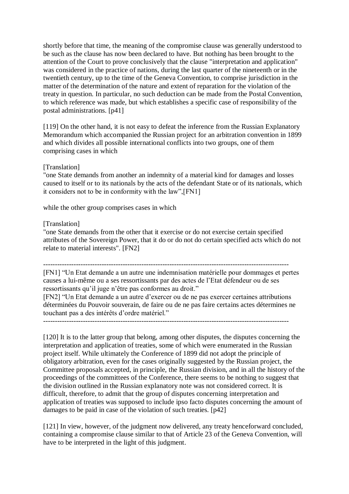shortly before that time, the meaning of the compromise clause was generally understood to be such as the clause has now been declared to have. But nothing has been brought to the attention of the Court to prove conclusively that the clause "interpretation and application" was considered in the practice of nations, during the last quarter of the nineteenth or in the twentieth century, up to the time of the Geneva Convention, to comprise jurisdiction in the matter of the determination of the nature and extent of reparation for the violation of the treaty in question. In particular, no such deduction can be made from the Postal Convention, to which reference was made, but which establishes a specific case of responsibility of the postal administrations. [p41]

[119] On the other hand, it is not easy to defeat the inference from the Russian Explanatory Memorandum which accompanied the Russian project for an arbitration convention in 1899 and which divides all possible international conflicts into two groups, one of them comprising cases in which

### [Translation]

"one State demands from another an indemnity of a material kind for damages and losses caused to itself or to its nationals by the acts of the defendant State or of its nationals, which it considers not to be in conformity with the law",[FN1]

while the other group comprises cases in which

## [Translation]

"one State demands from the other that it exercise or do not exercise certain specified attributes of the Sovereign Power, that it do or do not do certain specified acts which do not relate to material interests". [FN2]

---------------------------------------------------------------------------------------------------------

[FN1] "Un Etat demande a un autre une indemnisation matérielle pour dommages et pertes causes a lui-même ou a ses ressortissants par des actes de l'Etat défendeur ou de ses ressortissants qu'il juge n'être pas conformes au droit."

[FN2] "Un Etat demande a un autre d'exercer ou de ne pas exercer certaines attributions déterminées du Pouvoir souverain, de faire ou de ne pas faire certains actes détermines ne touchant pas a des intérêts d'ordre matériel."

---------------------------------------------------------------------------------------------------------

[120] It is to the latter group that belong, among other disputes, the disputes concerning the interpretation and application of treaties, some of which were enumerated in the Russian project itself. While ultimately the Conference of 1899 did not adopt the principle of obligatory arbitration, even for the cases originally suggested by the Russian project, the Committee proposals accepted, in principle, the Russian division, and in all the history of the proceedings of the committees of the Conference, there seems to be nothing to suggest that the division outlined in the Russian explanatory note was not considered correct. It is difficult, therefore, to admit that the group of disputes concerning interpretation and application of treaties was supposed to include ipso facto disputes concerning the amount of damages to be paid in case of the violation of such treaties. [p42]

[121] In view, however, of the judgment now delivered, any treaty henceforward concluded, containing a compromise clause similar to that of Article 23 of the Geneva Convention, will have to be interpreted in the light of this judgment.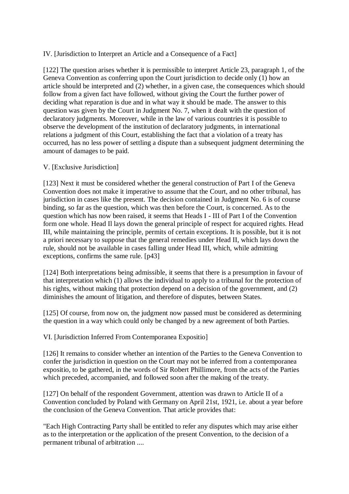# IV. [Jurisdiction to Interpret an Article and a Consequence of a Fact]

[122] The question arises whether it is permissible to interpret Article 23, paragraph 1, of the Geneva Convention as conferring upon the Court jurisdiction to decide only (1) how an article should be interpreted and (2) whether, in a given case, the consequences which should follow from a given fact have followed, without giving the Court the further power of deciding what reparation is due and in what way it should be made. The answer to this question was given by the Court in Judgment No. 7, when it dealt with the question of declaratory judgments. Moreover, while in the law of various countries it is possible to observe the development of the institution of declaratory judgments, in international relations a judgment of this Court, establishing the fact that a violation of a treaty has occurred, has no less power of settling a dispute than a subsequent judgment determining the amount of damages to be paid.

## V. [Exclusive Jurisdiction]

[123] Next it must be considered whether the general construction of Part I of the Geneva Convention does not make it imperative to assume that the Court, and no other tribunal, has jurisdiction in cases like the present. The decision contained in Judgment No. 6 is of course binding, so far as the question, which was then before the Court, is concerned. As to the question which has now been raised, it seems that Heads I - III of Part I of the Convention form one whole. Head Il lays down the general principle of respect for acquired rights. Head III, while maintaining the principle, permits of certain exceptions. It is possible, but it is not a priori necessary to suppose that the general remedies under Head II, which lays down the rule, should not be available in cases falling under Head III, which, while admitting exceptions, confirms the same rule. [p43]

[124] Both interpretations being admissible, it seems that there is a presumption in favour of that interpretation which (1) allows the individual to apply to a tribunal for the protection of his rights, without making that protection depend on a decision of the government, and (2) diminishes the amount of litigation, and therefore of disputes, between States.

[125] Of course, from now on, the judgment now passed must be considered as determining the question in a way which could only be changed by a new agreement of both Parties.

VI. [Jurisdiction Inferred From Contemporanea Expositio]

[126] It remains to consider whether an intention of the Parties to the Geneva Convention to confer the jurisdiction in question on the Court may not be inferred from a contemporanea expositio, to be gathered, in the words of Sir Robert Phillimore, from the acts of the Parties which preceded, accompanied, and followed soon after the making of the treaty.

[127] On behalf of the respondent Government, attention was drawn to Article II of a Convention concluded by Poland with Germany on April 21st, 1921, i.e. about a year before the conclusion of the Geneva Convention. That article provides that:

"Each High Contracting Party shall be entitled to refer any disputes which may arise either as to the interpretation or the application of the present Convention, to the decision of a permanent tribunal of arbitration ....